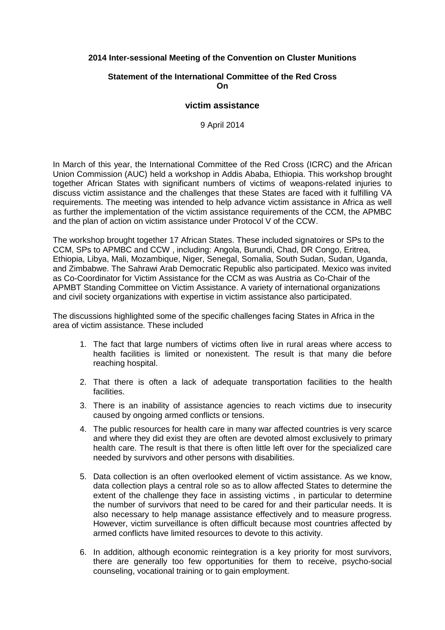## **2014 Inter-sessional Meeting of the Convention on Cluster Munitions**

## **Statement of the International Committee of the Red Cross On**

## **victim assistance**

9 April 2014

In March of this year, the International Committee of the Red Cross (ICRC) and the African Union Commission (AUC) held a workshop in Addis Ababa, Ethiopia. This workshop brought together African States with significant numbers of victims of weapons-related injuries to discuss victim assistance and the challenges that these States are faced with it fulfilling VA requirements. The meeting was intended to help advance victim assistance in Africa as well as further the implementation of the victim assistance requirements of the CCM, the APMBC and the plan of action on victim assistance under Protocol V of the CCW.

The workshop brought together 17 African States. These included signatoires or SPs to the CCM, SPs to APMBC and CCW , including: Angola, Burundi, Chad, DR Congo, Eritrea, Ethiopia, Libya, Mali, Mozambique, Niger, Senegal, Somalia, South Sudan, Sudan, Uganda, and Zimbabwe. The Sahrawi Arab Democratic Republic also participated. Mexico was invited as Co-Coordinator for Victim Assistance for the CCM as was Austria as Co-Chair of the APMBT Standing Committee on Victim Assistance. A variety of international organizations and civil society organizations with expertise in victim assistance also participated.

The discussions highlighted some of the specific challenges facing States in Africa in the area of victim assistance. These included

- 1. The fact that large numbers of victims often live in rural areas where access to health facilities is limited or nonexistent. The result is that many die before reaching hospital.
- 2. That there is often a lack of adequate transportation facilities to the health facilities.
- 3. There is an inability of assistance agencies to reach victims due to insecurity caused by ongoing armed conflicts or tensions.
- 4. The public resources for health care in many war affected countries is very scarce and where they did exist they are often are devoted almost exclusively to primary health care. The result is that there is often little left over for the specialized care needed by survivors and other persons with disabilities.
- 5. Data collection is an often overlooked element of victim assistance. As we know, data collection plays a central role so as to allow affected States to determine the extent of the challenge they face in assisting victims , in particular to determine the number of survivors that need to be cared for and their particular needs. It is also necessary to help manage assistance effectively and to measure progress. However, victim surveillance is often difficult because most countries affected by armed conflicts have limited resources to devote to this activity.
- 6. In addition, although economic reintegration is a key priority for most survivors, there are generally too few opportunities for them to receive, psycho-social counseling, vocational training or to gain employment.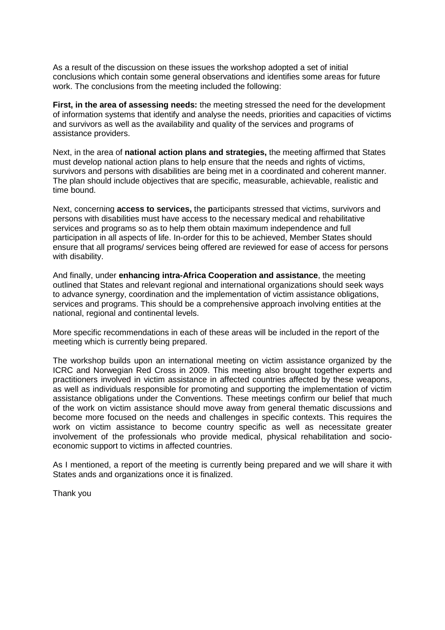As a result of the discussion on these issues the workshop adopted a set of initial conclusions which contain some general observations and identifies some areas for future work. The conclusions from the meeting included the following:

**First, in the area of assessing needs:** the meeting stressed the need for the development of information systems that identify and analyse the needs, priorities and capacities of victims and survivors as well as the availability and quality of the services and programs of assistance providers.

Next, in the area of **national action plans and strategies,** the meeting affirmed that States must develop national action plans to help ensure that the needs and rights of victims, survivors and persons with disabilities are being met in a coordinated and coherent manner. The plan should include objectives that are specific, measurable, achievable, realistic and time bound.

Next, concerning **access to services,** the **p**articipants stressed that victims, survivors and persons with disabilities must have access to the necessary medical and rehabilitative services and programs so as to help them obtain maximum independence and full participation in all aspects of life. In-order for this to be achieved, Member States should ensure that all programs/ services being offered are reviewed for ease of access for persons with disability.

And finally, under **enhancing intra-Africa Cooperation and assistance**, the meeting outlined that States and relevant regional and international organizations should seek ways to advance synergy, coordination and the implementation of victim assistance obligations, services and programs. This should be a comprehensive approach involving entities at the national, regional and continental levels.

More specific recommendations in each of these areas will be included in the report of the meeting which is currently being prepared.

The workshop builds upon an international meeting on victim assistance organized by the ICRC and Norwegian Red Cross in 2009. This meeting also brought together experts and practitioners involved in victim assistance in affected countries affected by these weapons, as well as individuals responsible for promoting and supporting the implementation of victim assistance obligations under the Conventions. These meetings confirm our belief that much of the work on victim assistance should move away from general thematic discussions and become more focused on the needs and challenges in specific contexts. This requires the work on victim assistance to become country specific as well as necessitate greater involvement of the professionals who provide medical, physical rehabilitation and socioeconomic support to victims in affected countries.

As I mentioned, a report of the meeting is currently being prepared and we will share it with States ands and organizations once it is finalized.

Thank you